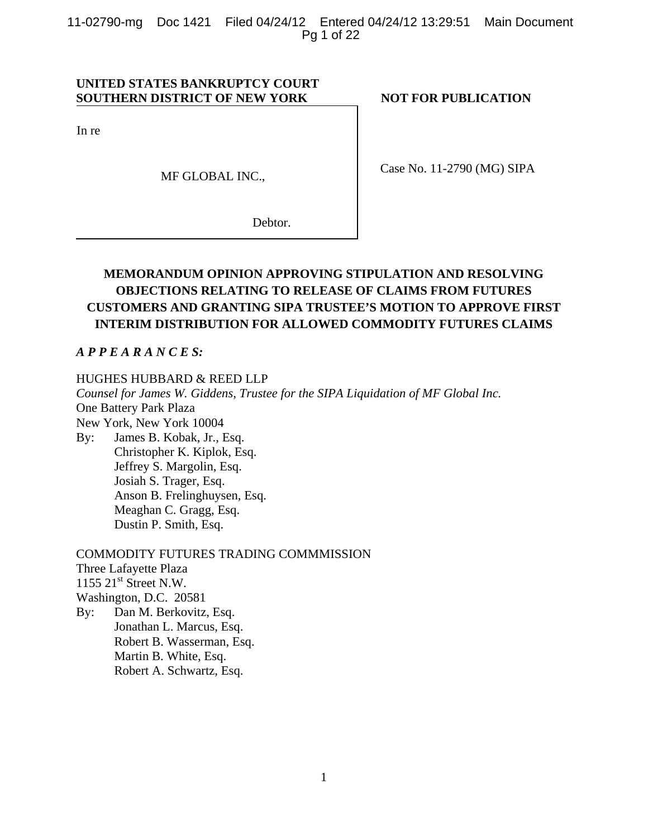11-02790-mg Doc 1421 Filed 04/24/12 Entered 04/24/12 13:29:51 Main Document Pg 1 of 22

# **UNITED STATES BANKRUPTCY COURT SOUTHERN DISTRICT OF NEW YORK NOT FOR PUBLICATION**

In re

MF GLOBAL INC.,

Case No. 11-2790 (MG) SIPA

Debtor.

# **MEMORANDUM OPINION APPROVING STIPULATION AND RESOLVING OBJECTIONS RELATING TO RELEASE OF CLAIMS FROM FUTURES CUSTOMERS AND GRANTING SIPA TRUSTEE'S MOTION TO APPROVE FIRST INTERIM DISTRIBUTION FOR ALLOWED COMMODITY FUTURES CLAIMS**

# *A P P E A R A N C E S:*

# HUGHES HUBBARD & REED LLP

*Counsel for James W. Giddens, Trustee for the SIPA Liquidation of MF Global Inc.*  One Battery Park Plaza New York, New York 10004 By: James B. Kobak, Jr., Esq. Christopher K. Kiplok, Esq. Jeffrey S. Margolin, Esq. Josiah S. Trager, Esq. Anson B. Frelinghuysen, Esq. Meaghan C. Gragg, Esq. Dustin P. Smith, Esq.

# COMMODITY FUTURES TRADING COMMMISSION

Three Lafayette Plaza  $1155$   $21<sup>st</sup>$  Street N.W. Washington, D.C. 20581 By: Dan M. Berkovitz, Esq. Jonathan L. Marcus, Esq. Robert B. Wasserman, Esq.

Martin B. White, Esq.

Robert A. Schwartz, Esq.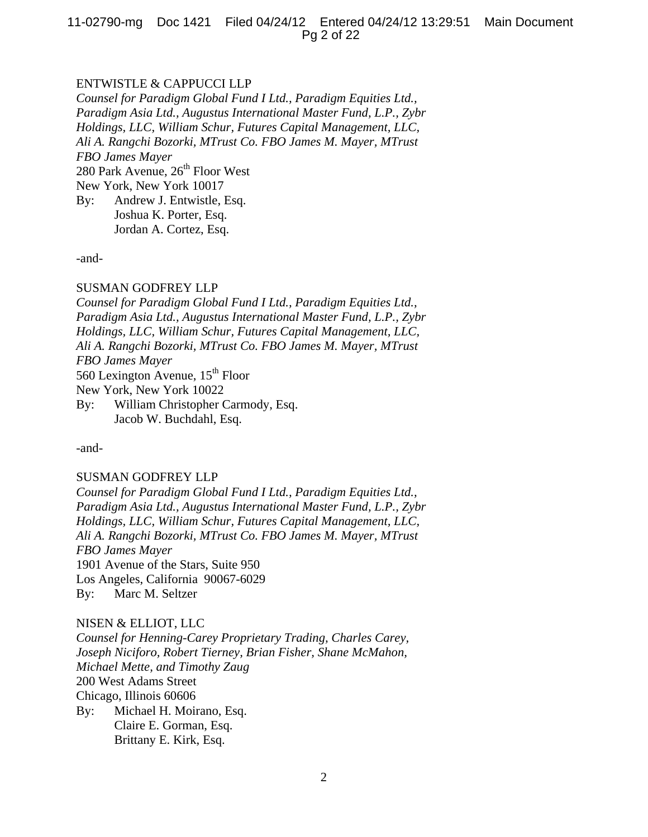11-02790-mg Doc 1421 Filed 04/24/12 Entered 04/24/12 13:29:51 Main Document Pg 2 of 22

# ENTWISTLE & CAPPUCCI LLP

*Counsel for Paradigm Global Fund I Ltd., Paradigm Equities Ltd., Paradigm Asia Ltd., Augustus International Master Fund, L.P., Zybr Holdings, LLC, William Schur, Futures Capital Management, LLC, Ali A. Rangchi Bozorki, MTrust Co. FBO James M. Mayer, MTrust FBO James Mayer*  280 Park Avenue,  $26<sup>th</sup>$  Floor West New York, New York 10017 By: Andrew J. Entwistle, Esq.

 Joshua K. Porter, Esq. Jordan A. Cortez, Esq.

-and-

#### SUSMAN GODFREY LLP

*Counsel for Paradigm Global Fund I Ltd., Paradigm Equities Ltd., Paradigm Asia Ltd., Augustus International Master Fund, L.P., Zybr Holdings, LLC, William Schur, Futures Capital Management, LLC, Ali A. Rangchi Bozorki, MTrust Co. FBO James M. Mayer, MTrust FBO James Mayer*  560 Lexington Avenue, 15th Floor

New York, New York 10022

By: William Christopher Carmody, Esq. Jacob W. Buchdahl, Esq.

-and-

#### SUSMAN GODFREY LLP

*Counsel for Paradigm Global Fund I Ltd., Paradigm Equities Ltd., Paradigm Asia Ltd., Augustus International Master Fund, L.P., Zybr Holdings, LLC, William Schur, Futures Capital Management, LLC, Ali A. Rangchi Bozorki, MTrust Co. FBO James M. Mayer, MTrust FBO James Mayer*  1901 Avenue of the Stars, Suite 950 Los Angeles, California 90067-6029 By: Marc M. Seltzer

#### NISEN & ELLIOT, LLC

*Counsel for Henning-Carey Proprietary Trading, Charles Carey, Joseph Niciforo, Robert Tierney, Brian Fisher, Shane McMahon, Michael Mette, and Timothy Zaug*  200 West Adams Street Chicago, Illinois 60606 By: Michael H. Moirano, Esq. Claire E. Gorman, Esq. Brittany E. Kirk, Esq.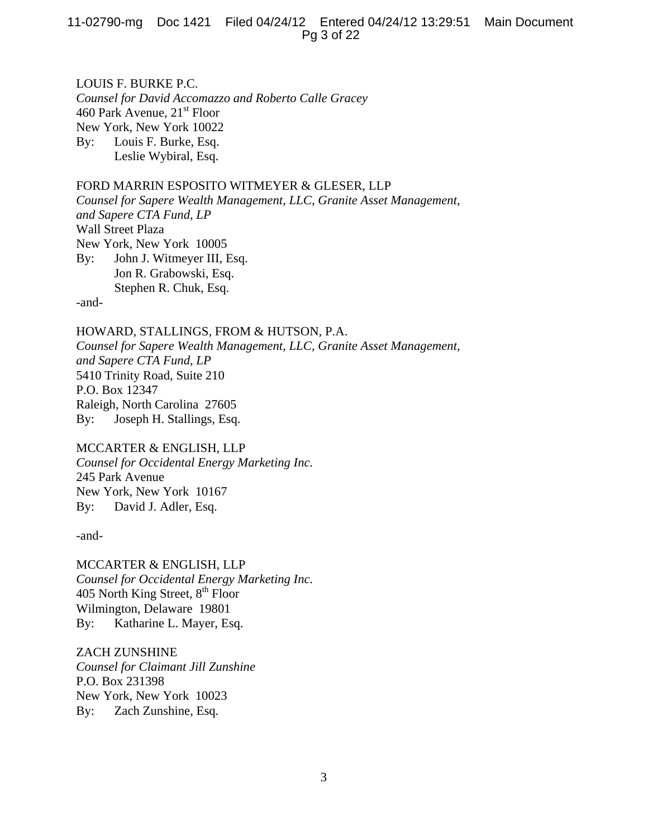11-02790-mg Doc 1421 Filed 04/24/12 Entered 04/24/12 13:29:51 Main Document Pg 3 of 22

LOUIS F. BURKE P.C. *Counsel for David Accomazzo and Roberto Calle Gracey*  460 Park Avenue,  $21<sup>st</sup>$  Floor New York, New York 10022 By: Louis F. Burke, Esq. Leslie Wybiral, Esq.

# FORD MARRIN ESPOSITO WITMEYER & GLESER, LLP

*Counsel for Sapere Wealth Management, LLC, Granite Asset Management, and Sapere CTA Fund, LP*  Wall Street Plaza New York, New York 10005 By: John J. Witmeyer III, Esq. Jon R. Grabowski, Esq. Stephen R. Chuk, Esq. -and-

HOWARD, STALLINGS, FROM & HUTSON, P.A. *Counsel for Sapere Wealth Management, LLC, Granite Asset Management, and Sapere CTA Fund, LP*  5410 Trinity Road, Suite 210 P.O. Box 12347 Raleigh, North Carolina 27605 By: Joseph H. Stallings, Esq.

# MCCARTER & ENGLISH, LLP

*Counsel for Occidental Energy Marketing Inc.*  245 Park Avenue New York, New York 10167 By: David J. Adler, Esq.

-and-

MCCARTER & ENGLISH, LLP *Counsel for Occidental Energy Marketing Inc.*  405 North King Street,  $8<sup>th</sup>$  Floor Wilmington, Delaware 19801 By: Katharine L. Mayer, Esq.

ZACH ZUNSHINE *Counsel for Claimant Jill Zunshine* P.O. Box 231398 New York, New York 10023 By: Zach Zunshine, Esq.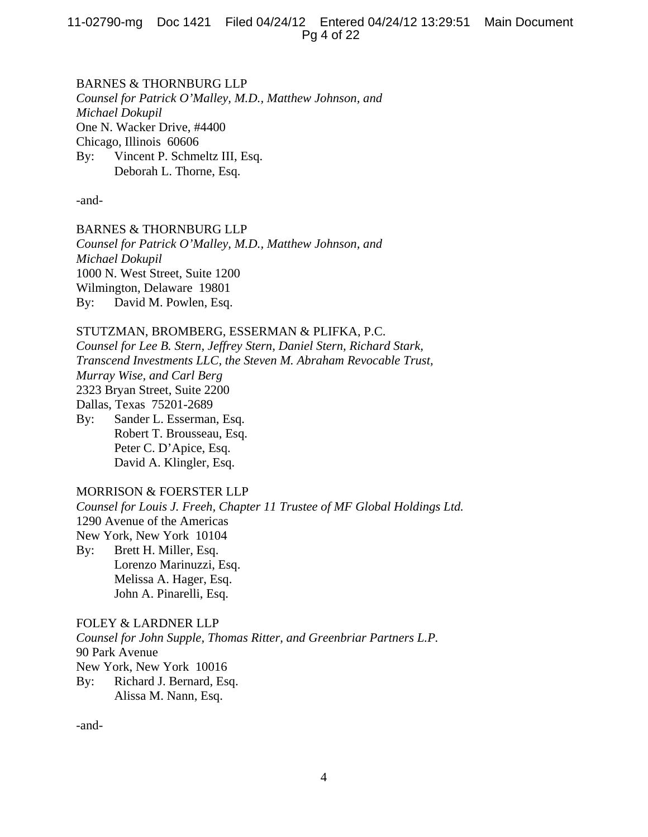BARNES & THORNBURG LLP *Counsel for Patrick O'Malley, M.D., Matthew Johnson, and Michael Dokupil* One N. Wacker Drive, #4400 Chicago, Illinois 60606 By: Vincent P. Schmeltz III, Esq. Deborah L. Thorne, Esq.

-and-

BARNES & THORNBURG LLP *Counsel for Patrick O'Malley, M.D., Matthew Johnson, and Michael Dokupil* 1000 N. West Street, Suite 1200 Wilmington, Delaware 19801 By: David M. Powlen, Esq.

# STUTZMAN, BROMBERG, ESSERMAN & PLIFKA, P.C.

*Counsel for Lee B. Stern, Jeffrey Stern, Daniel Stern, Richard Stark, Transcend Investments LLC, the Steven M. Abraham Revocable Trust, Murray Wise, and Carl Berg*  2323 Bryan Street, Suite 2200 Dallas, Texas 75201-2689 By: Sander L. Esserman, Esq. Robert T. Brousseau, Esq.

 Peter C. D'Apice, Esq. David A. Klingler, Esq.

# MORRISON & FOERSTER LLP

*Counsel for Louis J. Freeh, Chapter 11 Trustee of MF Global Holdings Ltd.*  1290 Avenue of the Americas New York, New York 10104 By: Brett H. Miller, Esq. Lorenzo Marinuzzi, Esq. Melissa A. Hager, Esq. John A. Pinarelli, Esq.

FOLEY & LARDNER LLP *Counsel for John Supple, Thomas Ritter, and Greenbriar Partners L.P.*  90 Park Avenue New York, New York 10016 By: Richard J. Bernard, Esq. Alissa M. Nann, Esq.

-and-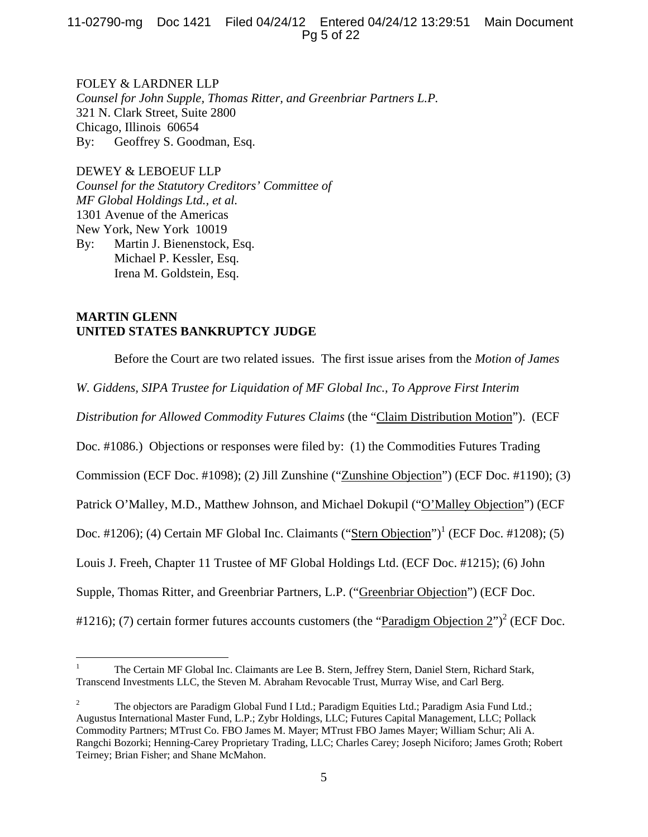11-02790-mg Doc 1421 Filed 04/24/12 Entered 04/24/12 13:29:51 Main Document Pg 5 of 22

FOLEY & LARDNER LLP *Counsel for John Supple, Thomas Ritter, and Greenbriar Partners L.P.*  321 N. Clark Street, Suite 2800 Chicago, Illinois 60654 By: Geoffrey S. Goodman, Esq.

DEWEY & LEBOEUF LLP *Counsel for the Statutory Creditors' Committee of MF Global Holdings Ltd., et al.* 1301 Avenue of the Americas New York, New York 10019 By: Martin J. Bienenstock, Esq. Michael P. Kessler, Esq. Irena M. Goldstein, Esq.

# **MARTIN GLENN UNITED STATES BANKRUPTCY JUDGE**

Before the Court are two related issues. The first issue arises from the *Motion of James* 

*W. Giddens, SIPA Trustee for Liquidation of MF Global Inc., To Approve First Interim* 

*Distribution for Allowed Commodity Futures Claims* (the "Claim Distribution Motion"). (ECF

Doc. #1086.) Objections or responses were filed by: (1) the Commodities Futures Trading

Commission (ECF Doc. #1098); (2) Jill Zunshine ("Zunshine Objection") (ECF Doc. #1190); (3)

Patrick O'Malley, M.D., Matthew Johnson, and Michael Dokupil ("O'Malley Objection") (ECF

Doc. #1206); (4) Certain MF Global Inc. Claimants ("Stern Objection")<sup>1</sup> (ECF Doc. #1208); (5)

Louis J. Freeh, Chapter 11 Trustee of MF Global Holdings Ltd. (ECF Doc. #1215); (6) John

Supple, Thomas Ritter, and Greenbriar Partners, L.P. ("Greenbriar Objection") (ECF Doc.

#1216); (7) certain former futures accounts customers (the "Paradigm Objection  $2$ ")<sup>2</sup> (ECF Doc.

 $\frac{1}{1}$  The Certain MF Global Inc. Claimants are Lee B. Stern, Jeffrey Stern, Daniel Stern, Richard Stark, Transcend Investments LLC, the Steven M. Abraham Revocable Trust, Murray Wise, and Carl Berg.

<sup>2</sup> The objectors are Paradigm Global Fund I Ltd.; Paradigm Equities Ltd.; Paradigm Asia Fund Ltd.; Augustus International Master Fund, L.P.; Zybr Holdings, LLC; Futures Capital Management, LLC; Pollack Commodity Partners; MTrust Co. FBO James M. Mayer; MTrust FBO James Mayer; William Schur; Ali A. Rangchi Bozorki; Henning-Carey Proprietary Trading, LLC; Charles Carey; Joseph Niciforo; James Groth; Robert Teirney; Brian Fisher; and Shane McMahon.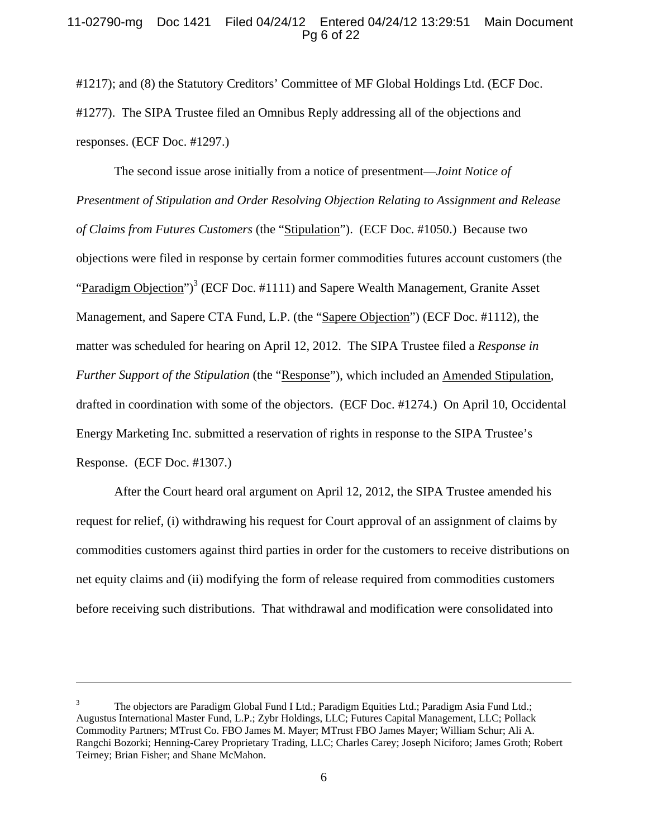# 11-02790-mg Doc 1421 Filed 04/24/12 Entered 04/24/12 13:29:51 Main Document Pg 6 of 22

#1217); and (8) the Statutory Creditors' Committee of MF Global Holdings Ltd. (ECF Doc. #1277). The SIPA Trustee filed an Omnibus Reply addressing all of the objections and responses. (ECF Doc. #1297.)

The second issue arose initially from a notice of presentment—*Joint Notice of Presentment of Stipulation and Order Resolving Objection Relating to Assignment and Release of Claims from Futures Customers* (the "Stipulation"). (ECF Doc. #1050.) Because two objections were filed in response by certain former commodities futures account customers (the "Paradigm Objection")<sup>3</sup> (ECF Doc. #1111) and Sapere Wealth Management, Granite Asset Management, and Sapere CTA Fund, L.P. (the "Sapere Objection") (ECF Doc. #1112), the matter was scheduled for hearing on April 12, 2012. The SIPA Trustee filed a *Response in Further Support of the Stipulation* (the "Response"), which included an Amended Stipulation, drafted in coordination with some of the objectors. (ECF Doc. #1274.) On April 10, Occidental Energy Marketing Inc. submitted a reservation of rights in response to the SIPA Trustee's Response. (ECF Doc. #1307.)

After the Court heard oral argument on April 12, 2012, the SIPA Trustee amended his request for relief, (i) withdrawing his request for Court approval of an assignment of claims by commodities customers against third parties in order for the customers to receive distributions on net equity claims and (ii) modifying the form of release required from commodities customers before receiving such distributions. That withdrawal and modification were consolidated into

<sup>3</sup> The objectors are Paradigm Global Fund I Ltd.; Paradigm Equities Ltd.; Paradigm Asia Fund Ltd.; Augustus International Master Fund, L.P.; Zybr Holdings, LLC; Futures Capital Management, LLC; Pollack Commodity Partners; MTrust Co. FBO James M. Mayer; MTrust FBO James Mayer; William Schur; Ali A. Rangchi Bozorki; Henning-Carey Proprietary Trading, LLC; Charles Carey; Joseph Niciforo; James Groth; Robert Teirney; Brian Fisher; and Shane McMahon.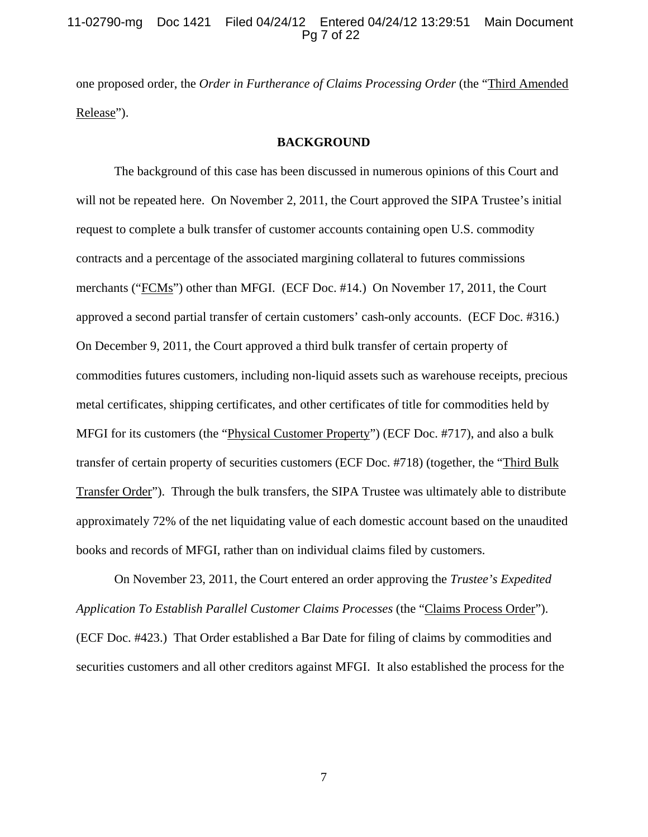# 11-02790-mg Doc 1421 Filed 04/24/12 Entered 04/24/12 13:29:51 Main Document Pg 7 of 22

one proposed order, the *Order in Furtherance of Claims Processing Order* (the "Third Amended Release").

#### **BACKGROUND**

The background of this case has been discussed in numerous opinions of this Court and will not be repeated here. On November 2, 2011, the Court approved the SIPA Trustee's initial request to complete a bulk transfer of customer accounts containing open U.S. commodity contracts and a percentage of the associated margining collateral to futures commissions merchants ("FCMs") other than MFGI. (ECF Doc. #14.) On November 17, 2011, the Court approved a second partial transfer of certain customers' cash-only accounts. (ECF Doc. #316.) On December 9, 2011, the Court approved a third bulk transfer of certain property of commodities futures customers, including non-liquid assets such as warehouse receipts, precious metal certificates, shipping certificates, and other certificates of title for commodities held by MFGI for its customers (the "Physical Customer Property") (ECF Doc. #717), and also a bulk transfer of certain property of securities customers (ECF Doc. #718) (together, the "Third Bulk Transfer Order"). Through the bulk transfers, the SIPA Trustee was ultimately able to distribute approximately 72% of the net liquidating value of each domestic account based on the unaudited books and records of MFGI, rather than on individual claims filed by customers.

On November 23, 2011, the Court entered an order approving the *Trustee's Expedited Application To Establish Parallel Customer Claims Processes* (the "Claims Process Order"). (ECF Doc. #423.) That Order established a Bar Date for filing of claims by commodities and securities customers and all other creditors against MFGI. It also established the process for the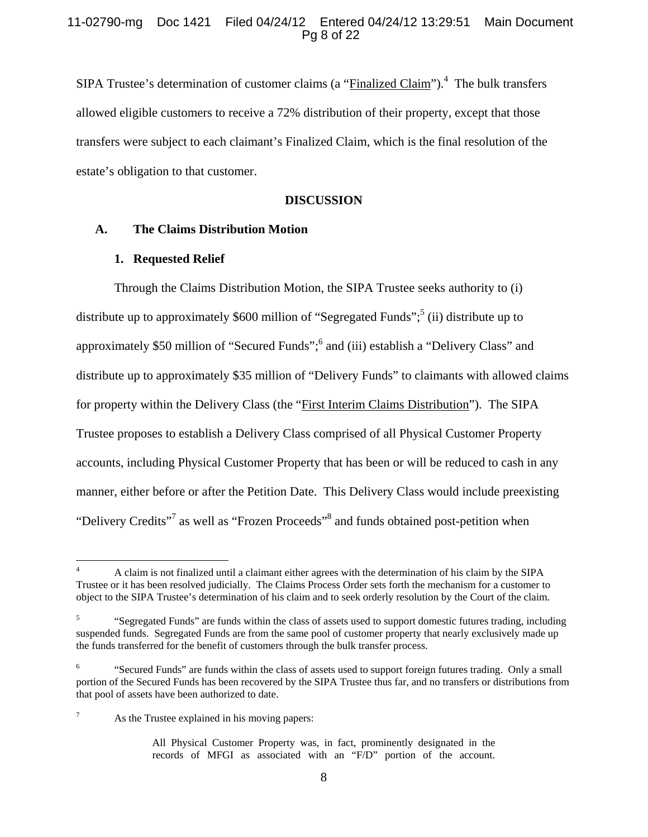SIPA Trustee's determination of customer claims (a "Finalized Claim").<sup>4</sup> The bulk transfers allowed eligible customers to receive a 72% distribution of their property, except that those transfers were subject to each claimant's Finalized Claim, which is the final resolution of the estate's obligation to that customer.

# **DISCUSSION**

## **A. The Claims Distribution Motion**

#### **1. Requested Relief**

Through the Claims Distribution Motion, the SIPA Trustee seeks authority to (i) distribute up to approximately \$600 million of "Segregated Funds";<sup>5</sup> (ii) distribute up to approximately \$50 million of "Secured Funds";<sup>6</sup> and (iii) establish a "Delivery Class" and distribute up to approximately \$35 million of "Delivery Funds" to claimants with allowed claims for property within the Delivery Class (the "First Interim Claims Distribution"). The SIPA Trustee proposes to establish a Delivery Class comprised of all Physical Customer Property accounts, including Physical Customer Property that has been or will be reduced to cash in any manner, either before or after the Petition Date. This Delivery Class would include preexisting "Delivery Credits"<sup>7</sup> as well as "Frozen Proceeds"<sup>8</sup> and funds obtained post-petition when

<sup>4</sup> A claim is not finalized until a claimant either agrees with the determination of his claim by the SIPA Trustee or it has been resolved judicially. The Claims Process Order sets forth the mechanism for a customer to object to the SIPA Trustee's determination of his claim and to seek orderly resolution by the Court of the claim.

<sup>5</sup> "Segregated Funds" are funds within the class of assets used to support domestic futures trading, including suspended funds. Segregated Funds are from the same pool of customer property that nearly exclusively made up the funds transferred for the benefit of customers through the bulk transfer process.

<sup>6</sup> "Secured Funds" are funds within the class of assets used to support foreign futures trading. Only a small portion of the Secured Funds has been recovered by the SIPA Trustee thus far, and no transfers or distributions from that pool of assets have been authorized to date.

<sup>7</sup> As the Trustee explained in his moving papers:

All Physical Customer Property was, in fact, prominently designated in the records of MFGI as associated with an "F/D" portion of the account.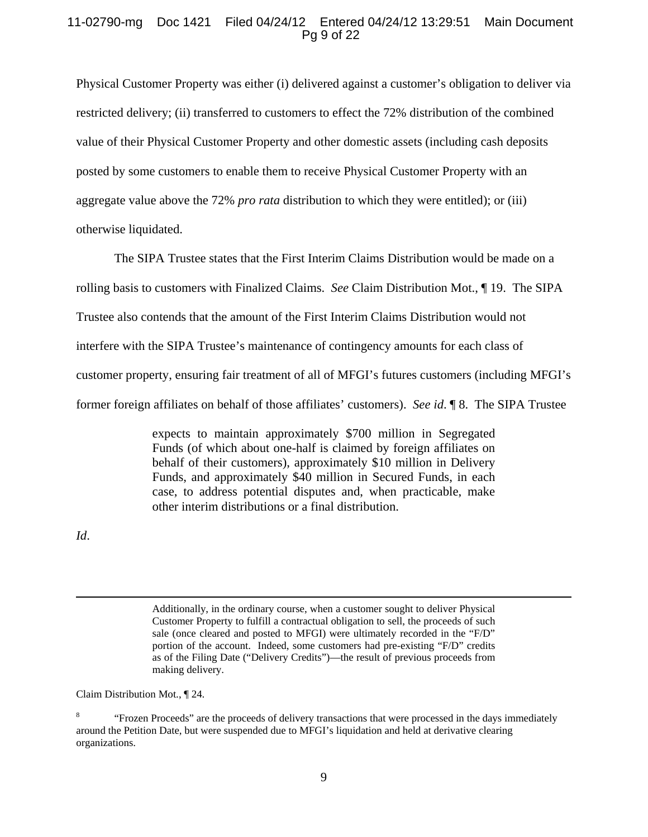# 11-02790-mg Doc 1421 Filed 04/24/12 Entered 04/24/12 13:29:51 Main Document Pg 9 of 22

Physical Customer Property was either (i) delivered against a customer's obligation to deliver via restricted delivery; (ii) transferred to customers to effect the 72% distribution of the combined value of their Physical Customer Property and other domestic assets (including cash deposits posted by some customers to enable them to receive Physical Customer Property with an aggregate value above the 72% *pro rata* distribution to which they were entitled); or (iii) otherwise liquidated.

The SIPA Trustee states that the First Interim Claims Distribution would be made on a rolling basis to customers with Finalized Claims. *See* Claim Distribution Mot., ¶ 19. The SIPA Trustee also contends that the amount of the First Interim Claims Distribution would not interfere with the SIPA Trustee's maintenance of contingency amounts for each class of customer property, ensuring fair treatment of all of MFGI's futures customers (including MFGI's former foreign affiliates on behalf of those affiliates' customers). *See id*. ¶ 8. The SIPA Trustee

> expects to maintain approximately \$700 million in Segregated Funds (of which about one-half is claimed by foreign affiliates on behalf of their customers), approximately \$10 million in Delivery Funds, and approximately \$40 million in Secured Funds, in each case, to address potential disputes and, when practicable, make other interim distributions or a final distribution.

*Id*.

 Additionally, in the ordinary course, when a customer sought to deliver Physical Customer Property to fulfill a contractual obligation to sell, the proceeds of such sale (once cleared and posted to MFGI) were ultimately recorded in the "F/D" portion of the account. Indeed, some customers had pre-existing "F/D" credits as of the Filing Date ("Delivery Credits")—the result of previous proceeds from making delivery.

Claim Distribution Mot., ¶ 24.

<sup>8</sup> "Frozen Proceeds" are the proceeds of delivery transactions that were processed in the days immediately around the Petition Date, but were suspended due to MFGI's liquidation and held at derivative clearing organizations.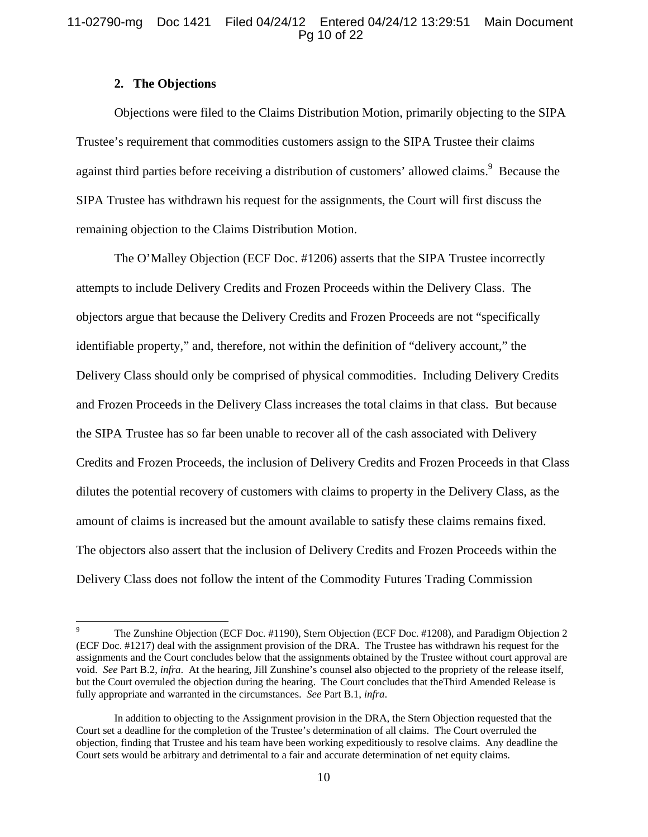# 11-02790-mg Doc 1421 Filed 04/24/12 Entered 04/24/12 13:29:51 Main Document Pg 10 of 22

# **2. The Objections**

 $\overline{a}$ 

Objections were filed to the Claims Distribution Motion, primarily objecting to the SIPA Trustee's requirement that commodities customers assign to the SIPA Trustee their claims against third parties before receiving a distribution of customers' allowed claims.<sup>9</sup> Because the SIPA Trustee has withdrawn his request for the assignments, the Court will first discuss the remaining objection to the Claims Distribution Motion.

The O'Malley Objection (ECF Doc. #1206) asserts that the SIPA Trustee incorrectly attempts to include Delivery Credits and Frozen Proceeds within the Delivery Class. The objectors argue that because the Delivery Credits and Frozen Proceeds are not "specifically identifiable property," and, therefore, not within the definition of "delivery account," the Delivery Class should only be comprised of physical commodities. Including Delivery Credits and Frozen Proceeds in the Delivery Class increases the total claims in that class. But because the SIPA Trustee has so far been unable to recover all of the cash associated with Delivery Credits and Frozen Proceeds, the inclusion of Delivery Credits and Frozen Proceeds in that Class dilutes the potential recovery of customers with claims to property in the Delivery Class, as the amount of claims is increased but the amount available to satisfy these claims remains fixed. The objectors also assert that the inclusion of Delivery Credits and Frozen Proceeds within the Delivery Class does not follow the intent of the Commodity Futures Trading Commission

<sup>9</sup> The Zunshine Objection (ECF Doc. #1190), Stern Objection (ECF Doc. #1208), and Paradigm Objection 2 (ECF Doc. #1217) deal with the assignment provision of the DRA. The Trustee has withdrawn his request for the assignments and the Court concludes below that the assignments obtained by the Trustee without court approval are void. *See* Part B.2, *infra*. At the hearing, Jill Zunshine's counsel also objected to the propriety of the release itself, but the Court overruled the objection during the hearing. The Court concludes that theThird Amended Release is fully appropriate and warranted in the circumstances. *See* Part B.1, *infra*.

In addition to objecting to the Assignment provision in the DRA, the Stern Objection requested that the Court set a deadline for the completion of the Trustee's determination of all claims. The Court overruled the objection, finding that Trustee and his team have been working expeditiously to resolve claims. Any deadline the Court sets would be arbitrary and detrimental to a fair and accurate determination of net equity claims.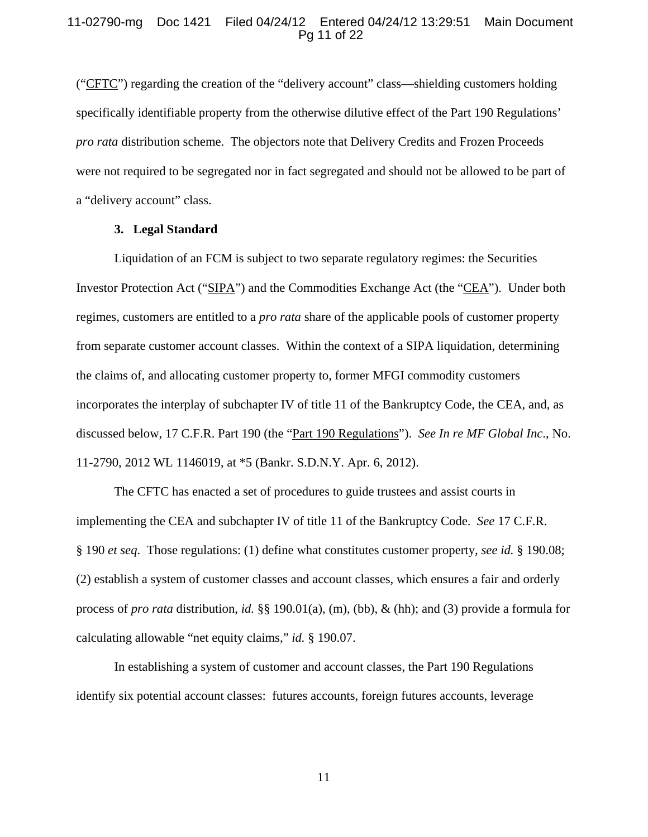# 11-02790-mg Doc 1421 Filed 04/24/12 Entered 04/24/12 13:29:51 Main Document Pg 11 of 22

("CFTC") regarding the creation of the "delivery account" class—shielding customers holding specifically identifiable property from the otherwise dilutive effect of the Part 190 Regulations' *pro rata* distribution scheme. The objectors note that Delivery Credits and Frozen Proceeds were not required to be segregated nor in fact segregated and should not be allowed to be part of a "delivery account" class.

## **3. Legal Standard**

Liquidation of an FCM is subject to two separate regulatory regimes: the Securities Investor Protection Act ("SIPA") and the Commodities Exchange Act (the "CEA"). Under both regimes, customers are entitled to a *pro rata* share of the applicable pools of customer property from separate customer account classes. Within the context of a SIPA liquidation, determining the claims of, and allocating customer property to, former MFGI commodity customers incorporates the interplay of subchapter IV of title 11 of the Bankruptcy Code, the CEA, and, as discussed below, 17 C.F.R. Part 190 (the "Part 190 Regulations"). *See In re MF Global Inc*., No. 11-2790, 2012 WL 1146019, at \*5 (Bankr. S.D.N.Y. Apr. 6, 2012).

The CFTC has enacted a set of procedures to guide trustees and assist courts in implementing the CEA and subchapter IV of title 11 of the Bankruptcy Code. *See* 17 C.F.R. § 190 *et seq*. Those regulations: (1) define what constitutes customer property, *see id.* § 190.08; (2) establish a system of customer classes and account classes, which ensures a fair and orderly process of *pro rata* distribution, *id.* §§ 190.01(a), (m), (bb), & (hh); and (3) provide a formula for calculating allowable "net equity claims," *id.* § 190.07.

In establishing a system of customer and account classes, the Part 190 Regulations identify six potential account classes: futures accounts, foreign futures accounts, leverage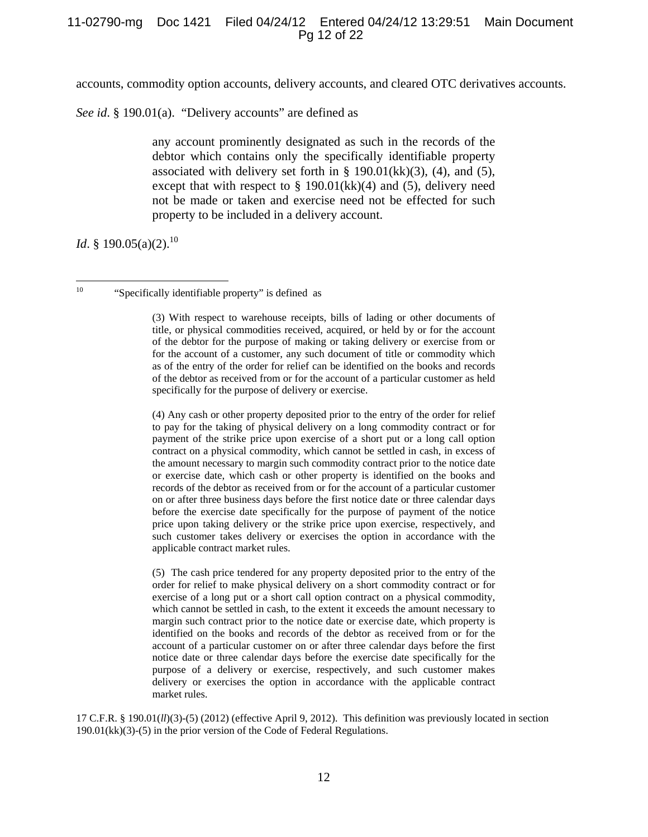accounts, commodity option accounts, delivery accounts, and cleared OTC derivatives accounts.

*See id*. § 190.01(a). "Delivery accounts" are defined as

any account prominently designated as such in the records of the debtor which contains only the specifically identifiable property associated with delivery set forth in  $\S$  190.01(kk)(3), (4), and (5), except that with respect to  $\S$  190.01(kk)(4) and (5), delivery need not be made or taken and exercise need not be effected for such property to be included in a delivery account.

*Id.* § 190.05(a)(2).<sup>10</sup>

(3) With respect to warehouse receipts, bills of lading or other documents of title, or physical commodities received, acquired, or held by or for the account of the debtor for the purpose of making or taking delivery or exercise from or for the account of a customer, any such document of title or commodity which as of the entry of the order for relief can be identified on the books and records of the debtor as received from or for the account of a particular customer as held specifically for the purpose of delivery or exercise.

(4) Any cash or other property deposited prior to the entry of the order for relief to pay for the taking of physical delivery on a long commodity contract or for payment of the strike price upon exercise of a short put or a long call option contract on a physical commodity, which cannot be settled in cash, in excess of the amount necessary to margin such commodity contract prior to the notice date or exercise date, which cash or other property is identified on the books and records of the debtor as received from or for the account of a particular customer on or after three business days before the first notice date or three calendar days before the exercise date specifically for the purpose of payment of the notice price upon taking delivery or the strike price upon exercise, respectively, and such customer takes delivery or exercises the option in accordance with the applicable contract market rules.

(5) The cash price tendered for any property deposited prior to the entry of the order for relief to make physical delivery on a short commodity contract or for exercise of a long put or a short call option contract on a physical commodity, which cannot be settled in cash, to the extent it exceeds the amount necessary to margin such contract prior to the notice date or exercise date, which property is identified on the books and records of the debtor as received from or for the account of a particular customer on or after three calendar days before the first notice date or three calendar days before the exercise date specifically for the purpose of a delivery or exercise, respectively, and such customer makes delivery or exercises the option in accordance with the applicable contract market rules.

17 C.F.R. § 190.01(*ll*)(3)-(5) (2012) (effective April 9, 2012). This definition was previously located in section 190.01(kk)(3)-(5) in the prior version of the Code of Federal Regulations.

 $10<sup>10</sup>$ "Specifically identifiable property" is defined as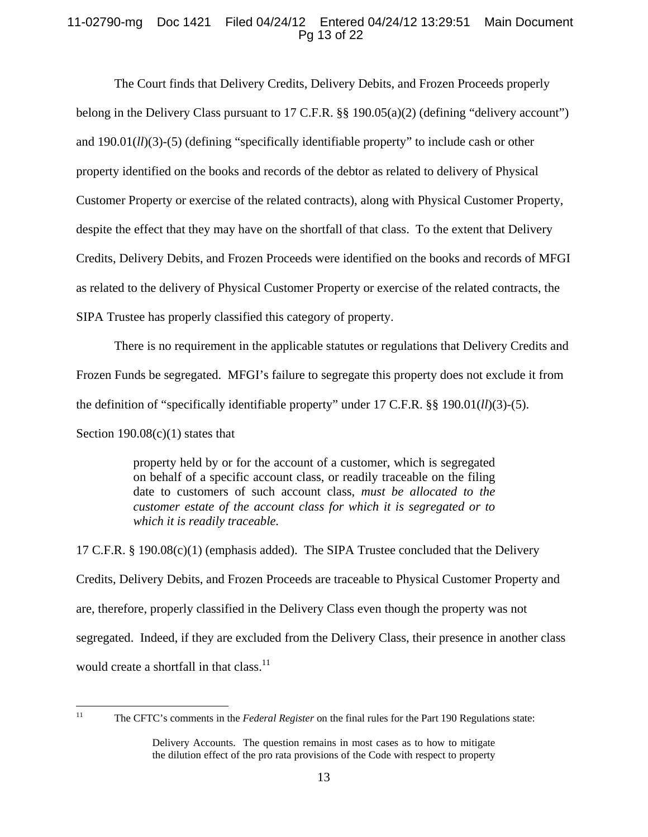# 11-02790-mg Doc 1421 Filed 04/24/12 Entered 04/24/12 13:29:51 Main Document Pg 13 of 22

The Court finds that Delivery Credits, Delivery Debits, and Frozen Proceeds properly belong in the Delivery Class pursuant to 17 C.F.R. §§ 190.05(a)(2) (defining "delivery account") and 190.01(*ll*)(3)-(5) (defining "specifically identifiable property" to include cash or other property identified on the books and records of the debtor as related to delivery of Physical Customer Property or exercise of the related contracts), along with Physical Customer Property, despite the effect that they may have on the shortfall of that class. To the extent that Delivery Credits, Delivery Debits, and Frozen Proceeds were identified on the books and records of MFGI as related to the delivery of Physical Customer Property or exercise of the related contracts, the SIPA Trustee has properly classified this category of property.

There is no requirement in the applicable statutes or regulations that Delivery Credits and Frozen Funds be segregated. MFGI's failure to segregate this property does not exclude it from the definition of "specifically identifiable property" under 17 C.F.R. §§ 190.01(*ll*)(3)-(5). Section  $190.08(c)(1)$  states that

> property held by or for the account of a customer, which is segregated on behalf of a specific account class, or readily traceable on the filing date to customers of such account class, *must be allocated to the customer estate of the account class for which it is segregated or to which it is readily traceable.*

17 C.F.R. § 190.08(c)(1) (emphasis added). The SIPA Trustee concluded that the Delivery Credits, Delivery Debits, and Frozen Proceeds are traceable to Physical Customer Property and are, therefore, properly classified in the Delivery Class even though the property was not segregated. Indeed, if they are excluded from the Delivery Class, their presence in another class would create a shortfall in that class.<sup>11</sup>

<sup>11</sup> The CFTC's comments in the *Federal Register* on the final rules for the Part 190 Regulations state:

Delivery Accounts. The question remains in most cases as to how to mitigate the dilution effect of the pro rata provisions of the Code with respect to property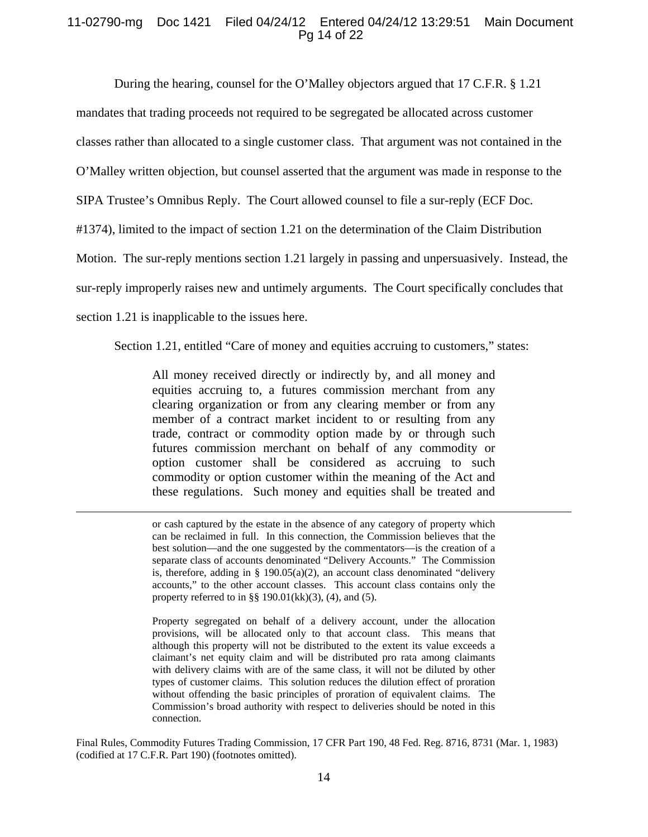# 11-02790-mg Doc 1421 Filed 04/24/12 Entered 04/24/12 13:29:51 Main Document Pg 14 of 22

During the hearing, counsel for the O'Malley objectors argued that 17 C.F.R. § 1.21

mandates that trading proceeds not required to be segregated be allocated across customer

classes rather than allocated to a single customer class. That argument was not contained in the

O'Malley written objection, but counsel asserted that the argument was made in response to the

SIPA Trustee's Omnibus Reply. The Court allowed counsel to file a sur-reply (ECF Doc.

#1374), limited to the impact of section 1.21 on the determination of the Claim Distribution

Motion. The sur-reply mentions section 1.21 largely in passing and unpersuasively. Instead, the

sur-reply improperly raises new and untimely arguments. The Court specifically concludes that

section 1.21 is inapplicable to the issues here.

Section 1.21, entitled "Care of money and equities accruing to customers," states:

All money received directly or indirectly by, and all money and equities accruing to, a futures commission merchant from any clearing organization or from any clearing member or from any member of a contract market incident to or resulting from any trade, contract or commodity option made by or through such futures commission merchant on behalf of any commodity or option customer shall be considered as accruing to such commodity or option customer within the meaning of the Act and these regulations. Such money and equities shall be treated and

 or cash captured by the estate in the absence of any category of property which can be reclaimed in full. In this connection, the Commission believes that the best solution—and the one suggested by the commentators—is the creation of a separate class of accounts denominated "Delivery Accounts." The Commission is, therefore, adding in  $\S$  190.05(a)(2), an account class denominated "delivery accounts," to the other account classes. This account class contains only the property referred to in §§ 190.01 $(kk)(3)$ , (4), and (5).

Property segregated on behalf of a delivery account, under the allocation provisions, will be allocated only to that account class. This means that although this property will not be distributed to the extent its value exceeds a claimant's net equity claim and will be distributed pro rata among claimants with delivery claims with are of the same class, it will not be diluted by other types of customer claims. This solution reduces the dilution effect of proration without offending the basic principles of proration of equivalent claims. The Commission's broad authority with respect to deliveries should be noted in this connection.

Final Rules, Commodity Futures Trading Commission, 17 CFR Part 190, 48 Fed. Reg. 8716, 8731 (Mar. 1, 1983) (codified at 17 C.F.R. Part 190) (footnotes omitted).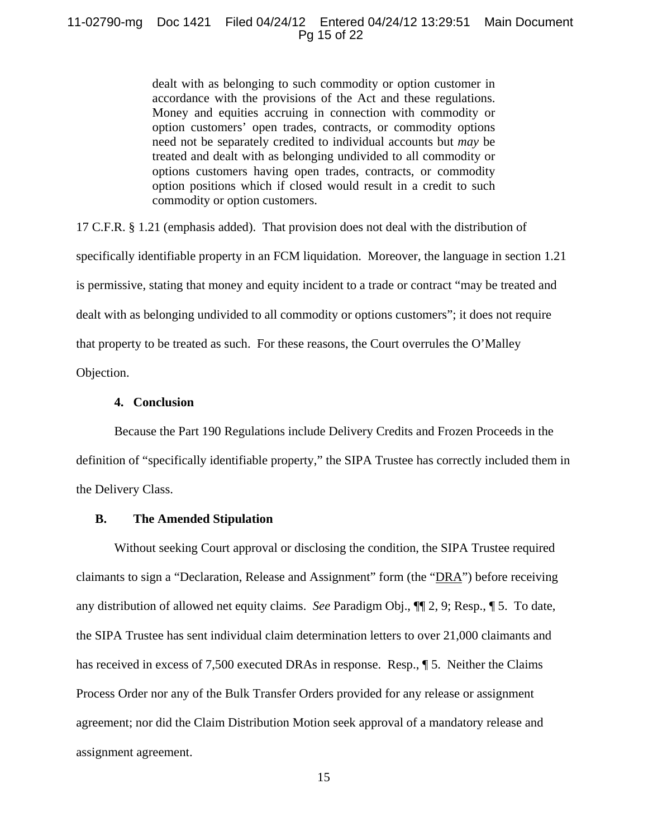# 11-02790-mg Doc 1421 Filed 04/24/12 Entered 04/24/12 13:29:51 Main Document Pg 15 of 22

dealt with as belonging to such commodity or option customer in accordance with the provisions of the Act and these regulations. Money and equities accruing in connection with commodity or option customers' open trades, contracts, or commodity options need not be separately credited to individual accounts but *may* be treated and dealt with as belonging undivided to all commodity or options customers having open trades, contracts, or commodity option positions which if closed would result in a credit to such commodity or option customers.

17 C.F.R. § 1.21 (emphasis added). That provision does not deal with the distribution of specifically identifiable property in an FCM liquidation. Moreover, the language in section 1.21 is permissive, stating that money and equity incident to a trade or contract "may be treated and dealt with as belonging undivided to all commodity or options customers"; it does not require that property to be treated as such. For these reasons, the Court overrules the O'Malley Objection.

# **4. Conclusion**

Because the Part 190 Regulations include Delivery Credits and Frozen Proceeds in the definition of "specifically identifiable property," the SIPA Trustee has correctly included them in the Delivery Class.

# **B. The Amended Stipulation**

Without seeking Court approval or disclosing the condition, the SIPA Trustee required claimants to sign a "Declaration, Release and Assignment" form (the "DRA") before receiving any distribution of allowed net equity claims. *See* Paradigm Obj., ¶¶ 2, 9; Resp., ¶ 5. To date, the SIPA Trustee has sent individual claim determination letters to over 21,000 claimants and has received in excess of 7,500 executed DRAs in response. Resp.,  $\parallel$  5. Neither the Claims Process Order nor any of the Bulk Transfer Orders provided for any release or assignment agreement; nor did the Claim Distribution Motion seek approval of a mandatory release and assignment agreement.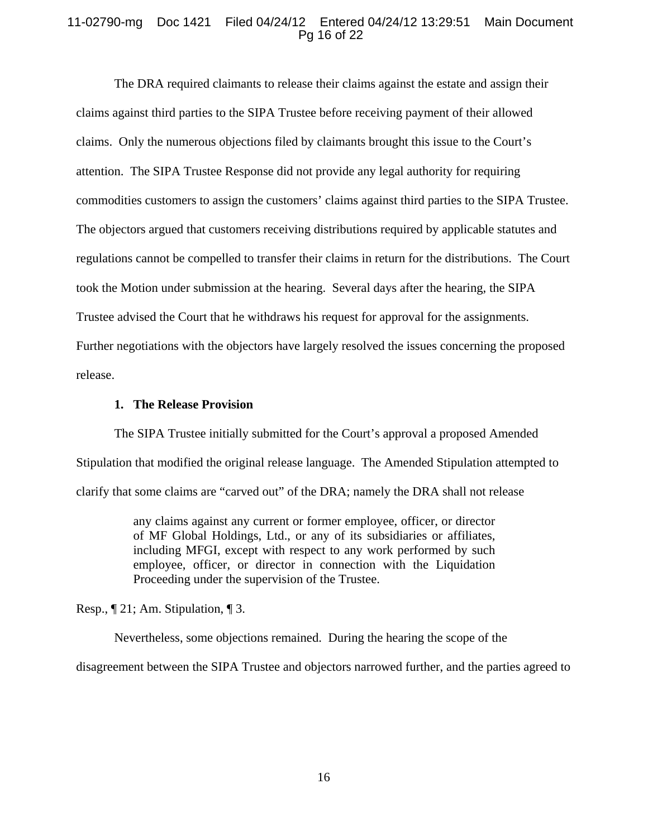# 11-02790-mg Doc 1421 Filed 04/24/12 Entered 04/24/12 13:29:51 Main Document Pg 16 of 22

The DRA required claimants to release their claims against the estate and assign their claims against third parties to the SIPA Trustee before receiving payment of their allowed claims. Only the numerous objections filed by claimants brought this issue to the Court's attention. The SIPA Trustee Response did not provide any legal authority for requiring commodities customers to assign the customers' claims against third parties to the SIPA Trustee. The objectors argued that customers receiving distributions required by applicable statutes and regulations cannot be compelled to transfer their claims in return for the distributions. The Court took the Motion under submission at the hearing. Several days after the hearing, the SIPA Trustee advised the Court that he withdraws his request for approval for the assignments. Further negotiations with the objectors have largely resolved the issues concerning the proposed release.

# **1. The Release Provision**

The SIPA Trustee initially submitted for the Court's approval a proposed Amended Stipulation that modified the original release language. The Amended Stipulation attempted to clarify that some claims are "carved out" of the DRA; namely the DRA shall not release

> any claims against any current or former employee, officer, or director of MF Global Holdings, Ltd., or any of its subsidiaries or affiliates, including MFGI, except with respect to any work performed by such employee, officer, or director in connection with the Liquidation Proceeding under the supervision of the Trustee.

Resp., ¶ 21; Am. Stipulation, ¶ 3.

Nevertheless, some objections remained. During the hearing the scope of the

disagreement between the SIPA Trustee and objectors narrowed further, and the parties agreed to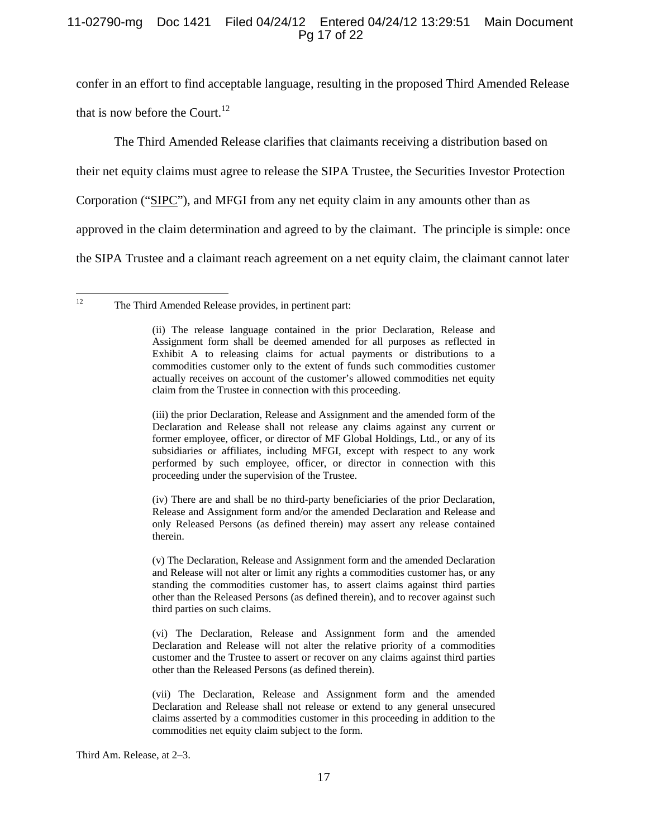# 11-02790-mg Doc 1421 Filed 04/24/12 Entered 04/24/12 13:29:51 Main Document Pg 17 of 22

confer in an effort to find acceptable language, resulting in the proposed Third Amended Release that is now before the Court. $^{12}$ 

The Third Amended Release clarifies that claimants receiving a distribution based on

their net equity claims must agree to release the SIPA Trustee, the Securities Investor Protection

Corporation ("SIPC"), and MFGI from any net equity claim in any amounts other than as

approved in the claim determination and agreed to by the claimant. The principle is simple: once

the SIPA Trustee and a claimant reach agreement on a net equity claim, the claimant cannot later

(iii) the prior Declaration, Release and Assignment and the amended form of the Declaration and Release shall not release any claims against any current or former employee, officer, or director of MF Global Holdings, Ltd., or any of its subsidiaries or affiliates, including MFGI, except with respect to any work performed by such employee, officer, or director in connection with this proceeding under the supervision of the Trustee.

(iv) There are and shall be no third-party beneficiaries of the prior Declaration, Release and Assignment form and/or the amended Declaration and Release and only Released Persons (as defined therein) may assert any release contained therein.

(v) The Declaration, Release and Assignment form and the amended Declaration and Release will not alter or limit any rights a commodities customer has, or any standing the commodities customer has, to assert claims against third parties other than the Released Persons (as defined therein), and to recover against such third parties on such claims.

(vi) The Declaration, Release and Assignment form and the amended Declaration and Release will not alter the relative priority of a commodities customer and the Trustee to assert or recover on any claims against third parties other than the Released Persons (as defined therein).

(vii) The Declaration, Release and Assignment form and the amended Declaration and Release shall not release or extend to any general unsecured claims asserted by a commodities customer in this proceeding in addition to the commodities net equity claim subject to the form.

Third Am. Release, at 2–3.

 $12\,$ The Third Amended Release provides, in pertinent part:

<sup>(</sup>ii) The release language contained in the prior Declaration, Release and Assignment form shall be deemed amended for all purposes as reflected in Exhibit A to releasing claims for actual payments or distributions to a commodities customer only to the extent of funds such commodities customer actually receives on account of the customer's allowed commodities net equity claim from the Trustee in connection with this proceeding.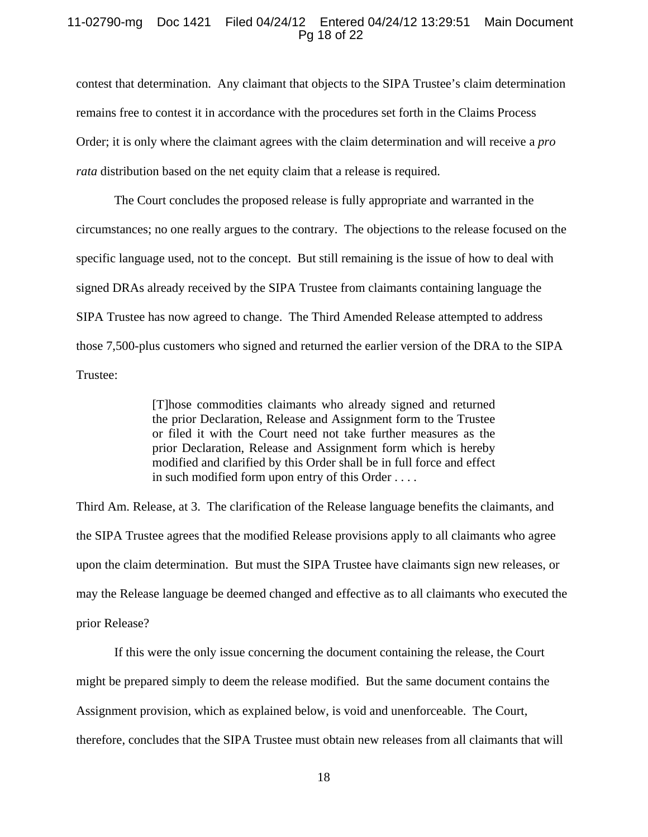# 11-02790-mg Doc 1421 Filed 04/24/12 Entered 04/24/12 13:29:51 Main Document Pg 18 of 22

contest that determination. Any claimant that objects to the SIPA Trustee's claim determination remains free to contest it in accordance with the procedures set forth in the Claims Process Order; it is only where the claimant agrees with the claim determination and will receive a *pro rata* distribution based on the net equity claim that a release is required.

The Court concludes the proposed release is fully appropriate and warranted in the circumstances; no one really argues to the contrary. The objections to the release focused on the specific language used, not to the concept. But still remaining is the issue of how to deal with signed DRAs already received by the SIPA Trustee from claimants containing language the SIPA Trustee has now agreed to change. The Third Amended Release attempted to address those 7,500-plus customers who signed and returned the earlier version of the DRA to the SIPA Trustee:

> [T]hose commodities claimants who already signed and returned the prior Declaration, Release and Assignment form to the Trustee or filed it with the Court need not take further measures as the prior Declaration, Release and Assignment form which is hereby modified and clarified by this Order shall be in full force and effect in such modified form upon entry of this Order . . . .

Third Am. Release, at 3. The clarification of the Release language benefits the claimants, and the SIPA Trustee agrees that the modified Release provisions apply to all claimants who agree upon the claim determination. But must the SIPA Trustee have claimants sign new releases, or may the Release language be deemed changed and effective as to all claimants who executed the prior Release?

If this were the only issue concerning the document containing the release, the Court might be prepared simply to deem the release modified. But the same document contains the Assignment provision, which as explained below, is void and unenforceable. The Court, therefore, concludes that the SIPA Trustee must obtain new releases from all claimants that will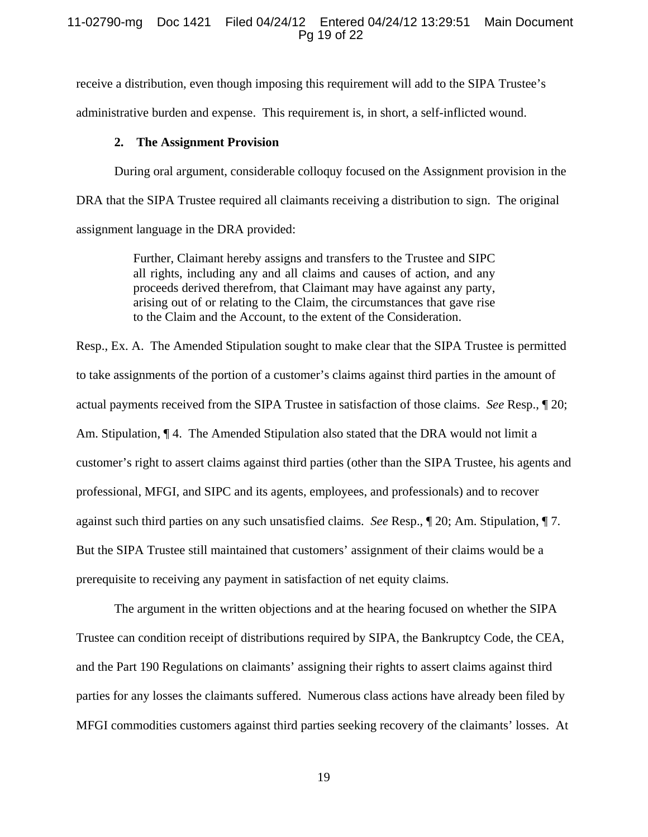# 11-02790-mg Doc 1421 Filed 04/24/12 Entered 04/24/12 13:29:51 Main Document Pg 19 of 22

receive a distribution, even though imposing this requirement will add to the SIPA Trustee's administrative burden and expense. This requirement is, in short, a self-inflicted wound.

#### **2. The Assignment Provision**

During oral argument, considerable colloquy focused on the Assignment provision in the DRA that the SIPA Trustee required all claimants receiving a distribution to sign. The original assignment language in the DRA provided:

> Further, Claimant hereby assigns and transfers to the Trustee and SIPC all rights, including any and all claims and causes of action, and any proceeds derived therefrom, that Claimant may have against any party, arising out of or relating to the Claim, the circumstances that gave rise to the Claim and the Account, to the extent of the Consideration.

Resp., Ex. A. The Amended Stipulation sought to make clear that the SIPA Trustee is permitted to take assignments of the portion of a customer's claims against third parties in the amount of actual payments received from the SIPA Trustee in satisfaction of those claims. *See* Resp., ¶ 20; Am. Stipulation,  $\P$  4. The Amended Stipulation also stated that the DRA would not limit a customer's right to assert claims against third parties (other than the SIPA Trustee, his agents and professional, MFGI, and SIPC and its agents, employees, and professionals) and to recover against such third parties on any such unsatisfied claims. *See* Resp., ¶ 20; Am. Stipulation, ¶ 7. But the SIPA Trustee still maintained that customers' assignment of their claims would be a prerequisite to receiving any payment in satisfaction of net equity claims.

The argument in the written objections and at the hearing focused on whether the SIPA Trustee can condition receipt of distributions required by SIPA, the Bankruptcy Code, the CEA, and the Part 190 Regulations on claimants' assigning their rights to assert claims against third parties for any losses the claimants suffered. Numerous class actions have already been filed by MFGI commodities customers against third parties seeking recovery of the claimants' losses. At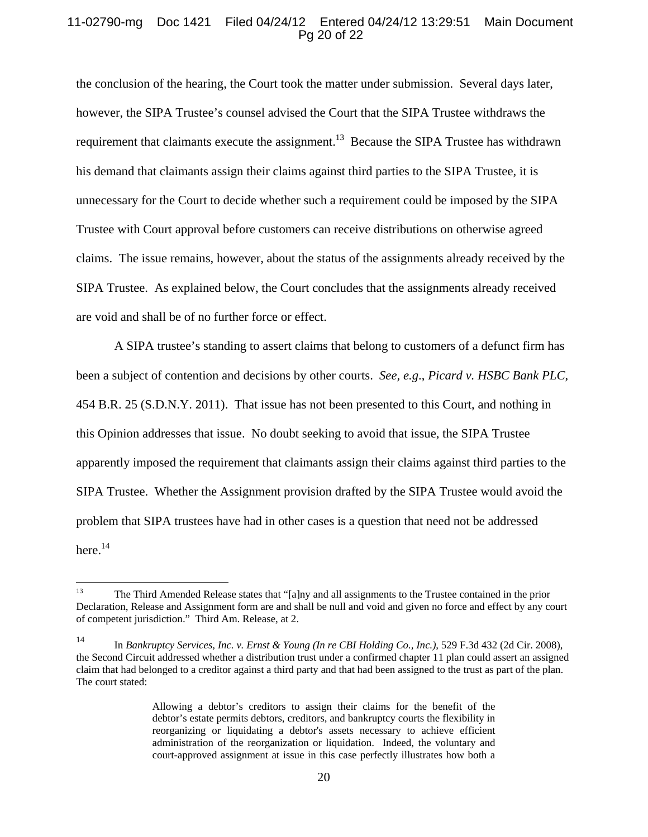# 11-02790-mg Doc 1421 Filed 04/24/12 Entered 04/24/12 13:29:51 Main Document Pg 20 of 22

the conclusion of the hearing, the Court took the matter under submission. Several days later, however, the SIPA Trustee's counsel advised the Court that the SIPA Trustee withdraws the requirement that claimants execute the assignment.<sup>13</sup> Because the SIPA Trustee has withdrawn his demand that claimants assign their claims against third parties to the SIPA Trustee, it is unnecessary for the Court to decide whether such a requirement could be imposed by the SIPA Trustee with Court approval before customers can receive distributions on otherwise agreed claims. The issue remains, however, about the status of the assignments already received by the SIPA Trustee. As explained below, the Court concludes that the assignments already received are void and shall be of no further force or effect.

A SIPA trustee's standing to assert claims that belong to customers of a defunct firm has been a subject of contention and decisions by other courts. *See, e.g*., *Picard v. HSBC Bank PLC*, 454 B.R. 25 (S.D.N.Y. 2011). That issue has not been presented to this Court, and nothing in this Opinion addresses that issue. No doubt seeking to avoid that issue, the SIPA Trustee apparently imposed the requirement that claimants assign their claims against third parties to the SIPA Trustee. Whether the Assignment provision drafted by the SIPA Trustee would avoid the problem that SIPA trustees have had in other cases is a question that need not be addressed here.<sup>14</sup>

 $13$ 13 The Third Amended Release states that "[a]ny and all assignments to the Trustee contained in the prior Declaration, Release and Assignment form are and shall be null and void and given no force and effect by any court of competent jurisdiction." Third Am. Release, at 2.

<sup>14</sup> In *Bankruptcy Services, Inc. v. Ernst & Young (In re CBI Holding Co., Inc.)*, 529 F.3d 432 (2d Cir. 2008), the Second Circuit addressed whether a distribution trust under a confirmed chapter 11 plan could assert an assigned claim that had belonged to a creditor against a third party and that had been assigned to the trust as part of the plan. The court stated:

Allowing a debtor's creditors to assign their claims for the benefit of the debtor's estate permits debtors, creditors, and bankruptcy courts the flexibility in reorganizing or liquidating a debtor's assets necessary to achieve efficient administration of the reorganization or liquidation. Indeed, the voluntary and court-approved assignment at issue in this case perfectly illustrates how both a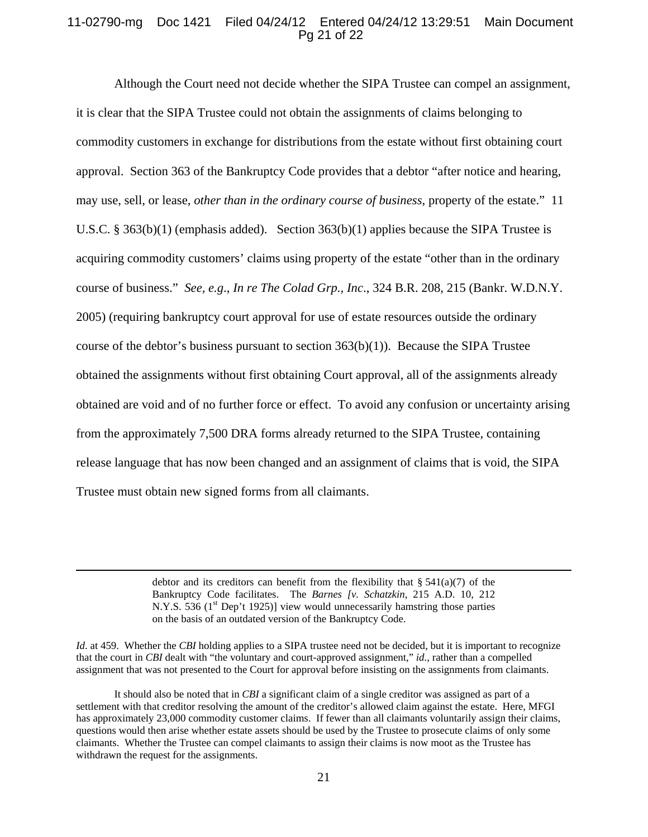# 11-02790-mg Doc 1421 Filed 04/24/12 Entered 04/24/12 13:29:51 Main Document Pg 21 of 22

Although the Court need not decide whether the SIPA Trustee can compel an assignment, it is clear that the SIPA Trustee could not obtain the assignments of claims belonging to commodity customers in exchange for distributions from the estate without first obtaining court approval. Section 363 of the Bankruptcy Code provides that a debtor "after notice and hearing, may use, sell, or lease, *other than in the ordinary course of business*, property of the estate." 11 U.S.C. § 363(b)(1) (emphasis added). Section 363(b)(1) applies because the SIPA Trustee is acquiring commodity customers' claims using property of the estate "other than in the ordinary course of business." *See, e.g*., *In re The Colad Grp., Inc*., 324 B.R. 208, 215 (Bankr. W.D.N.Y. 2005) (requiring bankruptcy court approval for use of estate resources outside the ordinary course of the debtor's business pursuant to section  $363(b)(1)$ ). Because the SIPA Trustee obtained the assignments without first obtaining Court approval, all of the assignments already obtained are void and of no further force or effect. To avoid any confusion or uncertainty arising from the approximately 7,500 DRA forms already returned to the SIPA Trustee, containing release language that has now been changed and an assignment of claims that is void, the SIPA Trustee must obtain new signed forms from all claimants.

> debtor and its creditors can benefit from the flexibility that  $\S$  541(a)(7) of the Bankruptcy Code facilitates. The *Barnes [v. Schatzkin*, 215 A.D. 10, 212 N.Y.S. 536 ( $1<sup>st</sup>$  Dep't 1925)] view would unnecessarily hamstring those parties on the basis of an outdated version of the Bankruptcy Code.

*Id.* at 459. Whether the *CBI* holding applies to a SIPA trustee need not be decided, but it is important to recognize that the court in *CBI* dealt with "the voluntary and court-approved assignment," *id.,* rather than a compelled assignment that was not presented to the Court for approval before insisting on the assignments from claimants.

It should also be noted that in *CBI* a significant claim of a single creditor was assigned as part of a settlement with that creditor resolving the amount of the creditor's allowed claim against the estate. Here, MFGI has approximately 23,000 commodity customer claims. If fewer than all claimants voluntarily assign their claims, questions would then arise whether estate assets should be used by the Trustee to prosecute claims of only some claimants. Whether the Trustee can compel claimants to assign their claims is now moot as the Trustee has withdrawn the request for the assignments.